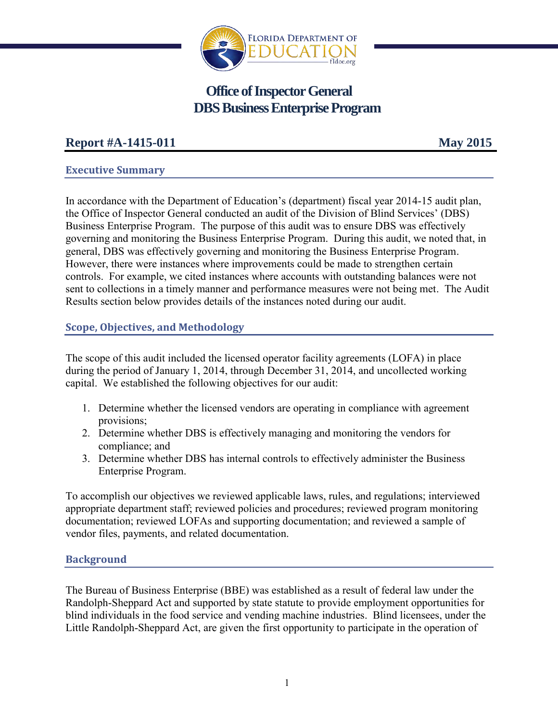

# **Office of Inspector General DBS Business Enterprise Program**

## **Report #A-1415-011 May 2015**

## **Executive Summary**

In accordance with the Department of Education's (department) fiscal year 2014-15 audit plan, the Office of Inspector General conducted an audit of the Division of Blind Services' (DBS) Business Enterprise Program. The purpose of this audit was to ensure DBS was effectively governing and monitoring the Business Enterprise Program. During this audit, we noted that, in general, DBS was effectively governing and monitoring the Business Enterprise Program. However, there were instances where improvements could be made to strengthen certain controls. For example, we cited instances where accounts with outstanding balances were not sent to collections in a timely manner and performance measures were not being met. The Audit Results section below provides details of the instances noted during our audit.

## **Scope, Objectives, and Methodology**

The scope of this audit included the licensed operator facility agreements (LOFA) in place during the period of January 1, 2014, through December 31, 2014, and uncollected working capital. We established the following objectives for our audit:

- 1. Determine whether the licensed vendors are operating in compliance with agreement provisions;
- 2. Determine whether DBS is effectively managing and monitoring the vendors for compliance; and
- 3. Determine whether DBS has internal controls to effectively administer the Business Enterprise Program.

To accomplish our objectives we reviewed applicable laws, rules, and regulations; interviewed appropriate department staff; reviewed policies and procedures; reviewed program monitoring documentation; reviewed LOFAs and supporting documentation; and reviewed a sample of vendor files, payments, and related documentation.

## **Background**

The Bureau of Business Enterprise (BBE) was established as a result of federal law under the Randolph-Sheppard Act and supported by state statute to provide employment opportunities for blind individuals in the food service and vending machine industries. Blind licensees, under the Little Randolph-Sheppard Act, are given the first opportunity to participate in the operation of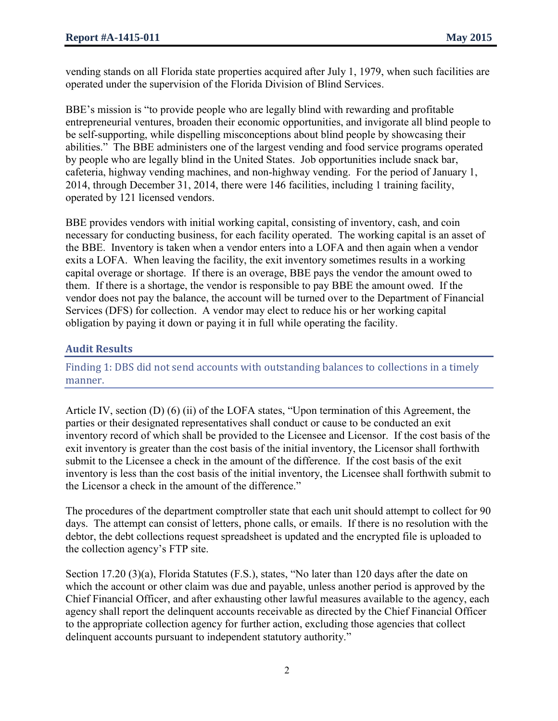vending stands on all Florida state properties acquired after July 1, 1979, when such facilities are operated under the supervision of the Florida Division of Blind Services.

BBE's mission is "to provide people who are legally blind with rewarding and profitable entrepreneurial ventures, broaden their economic opportunities, and invigorate all blind people to be self-supporting, while dispelling misconceptions about blind people by showcasing their abilities." The BBE administers one of the largest vending and food service programs operated by people who are legally blind in the United States. Job opportunities include snack bar, cafeteria, highway vending machines, and non-highway vending. For the period of January 1, 2014, through December 31, 2014, there were 146 facilities, including 1 training facility, operated by 121 licensed vendors.

BBE provides vendors with initial working capital, consisting of inventory, cash, and coin necessary for conducting business, for each facility operated. The working capital is an asset of the BBE. Inventory is taken when a vendor enters into a LOFA and then again when a vendor exits a LOFA. When leaving the facility, the exit inventory sometimes results in a working capital overage or shortage. If there is an overage, BBE pays the vendor the amount owed to them. If there is a shortage, the vendor is responsible to pay BBE the amount owed. If the vendor does not pay the balance, the account will be turned over to the Department of Financial Services (DFS) for collection. A vendor may elect to reduce his or her working capital obligation by paying it down or paying it in full while operating the facility.

## **Audit Results**

Finding 1: DBS did not send accounts with outstanding balances to collections in a timely manner.

Article IV, section (D) (6) (ii) of the LOFA states, "Upon termination of this Agreement, the parties or their designated representatives shall conduct or cause to be conducted an exit inventory record of which shall be provided to the Licensee and Licensor. If the cost basis of the exit inventory is greater than the cost basis of the initial inventory, the Licensor shall forthwith submit to the Licensee a check in the amount of the difference. If the cost basis of the exit inventory is less than the cost basis of the initial inventory, the Licensee shall forthwith submit to the Licensor a check in the amount of the difference."

The procedures of the department comptroller state that each unit should attempt to collect for 90 days. The attempt can consist of letters, phone calls, or emails. If there is no resolution with the debtor, the debt collections request spreadsheet is updated and the encrypted file is uploaded to the collection agency's FTP site.

Section 17.20 (3)(a), Florida Statutes (F.S.), states, "No later than 120 days after the date on which the account or other claim was due and payable, unless another period is approved by the Chief Financial Officer, and after exhausting other lawful measures available to the agency, each agency shall report the delinquent accounts receivable as directed by the Chief Financial Officer to the appropriate collection agency for further action, excluding those agencies that collect delinquent accounts pursuant to independent statutory authority."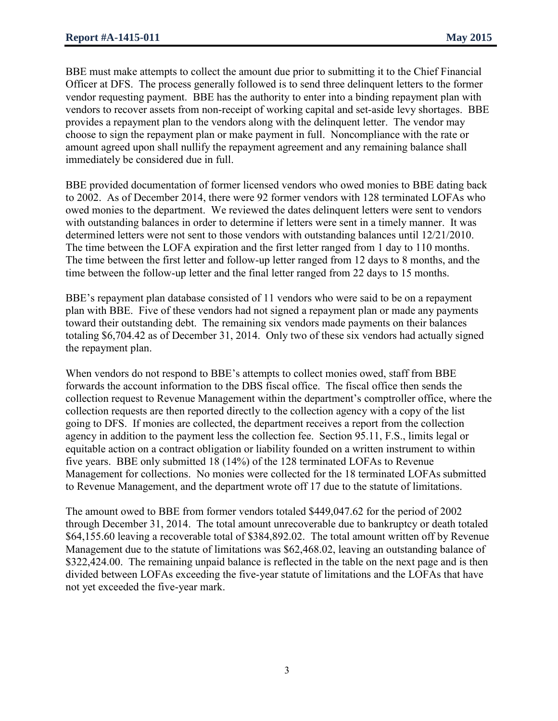BBE must make attempts to collect the amount due prior to submitting it to the Chief Financial Officer at DFS. The process generally followed is to send three delinquent letters to the former vendor requesting payment. BBE has the authority to enter into a binding repayment plan with vendors to recover assets from non-receipt of working capital and set-aside levy shortages. BBE provides a repayment plan to the vendors along with the delinquent letter. The vendor may choose to sign the repayment plan or make payment in full. Noncompliance with the rate or amount agreed upon shall nullify the repayment agreement and any remaining balance shall immediately be considered due in full.

BBE provided documentation of former licensed vendors who owed monies to BBE dating back to 2002. As of December 2014, there were 92 former vendors with 128 terminated LOFAs who owed monies to the department. We reviewed the dates delinquent letters were sent to vendors with outstanding balances in order to determine if letters were sent in a timely manner. It was determined letters were not sent to those vendors with outstanding balances until 12/21/2010. The time between the LOFA expiration and the first letter ranged from 1 day to 110 months. The time between the first letter and follow-up letter ranged from 12 days to 8 months, and the time between the follow-up letter and the final letter ranged from 22 days to 15 months.

BBE's repayment plan database consisted of 11 vendors who were said to be on a repayment plan with BBE. Five of these vendors had not signed a repayment plan or made any payments toward their outstanding debt. The remaining six vendors made payments on their balances totaling \$6,704.42 as of December 31, 2014. Only two of these six vendors had actually signed the repayment plan.

When vendors do not respond to BBE's attempts to collect monies owed, staff from BBE forwards the account information to the DBS fiscal office. The fiscal office then sends the collection request to Revenue Management within the department's comptroller office, where the collection requests are then reported directly to the collection agency with a copy of the list going to DFS. If monies are collected, the department receives a report from the collection agency in addition to the payment less the collection fee. Section 95.11, F.S., limits legal or equitable action on a contract obligation or liability founded on a written instrument to within five years. BBE only submitted 18 (14%) of the 128 terminated LOFAs to Revenue Management for collections. No monies were collected for the 18 terminated LOFAs submitted to Revenue Management, and the department wrote off 17 due to the statute of limitations.

The amount owed to BBE from former vendors totaled \$449,047.62 for the period of 2002 through December 31, 2014. The total amount unrecoverable due to bankruptcy or death totaled \$64,155.60 leaving a recoverable total of \$384,892.02. The total amount written off by Revenue Management due to the statute of limitations was \$62,468.02, leaving an outstanding balance of \$322,424.00. The remaining unpaid balance is reflected in the table on the next page and is then divided between LOFAs exceeding the five-year statute of limitations and the LOFAs that have not yet exceeded the five-year mark.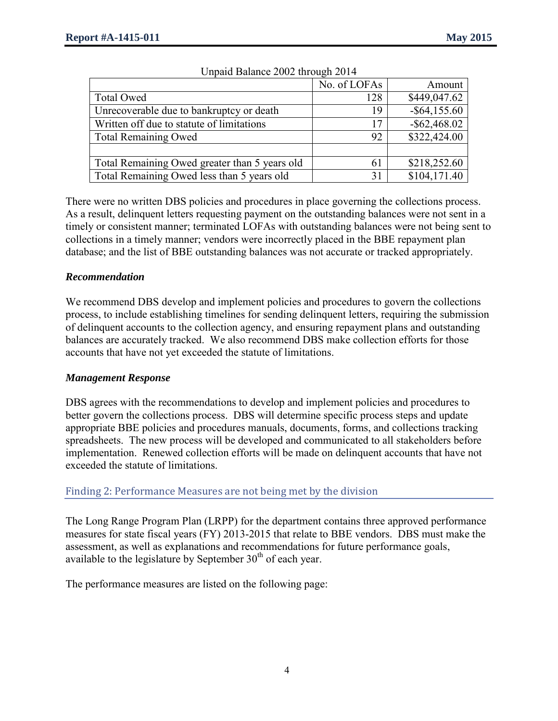|                                               | No. of LOFAs | Amount          |
|-----------------------------------------------|--------------|-----------------|
| <b>Total Owed</b>                             | 128          | \$449,047.62    |
| Unrecoverable due to bankruptcy or death      | 19           | $-$ \$64,155.60 |
| Written off due to statute of limitations     | 17           | $-$ \$62,468.02 |
| <b>Total Remaining Owed</b>                   | 92           | \$322,424.00    |
|                                               |              |                 |
| Total Remaining Owed greater than 5 years old | 61           | \$218,252.60    |
| Total Remaining Owed less than 5 years old    | 31           | \$104,171.40    |

#### Unpaid Balance 2002 through 2014

There were no written DBS policies and procedures in place governing the collections process. As a result, delinquent letters requesting payment on the outstanding balances were not sent in a timely or consistent manner; terminated LOFAs with outstanding balances were not being sent to collections in a timely manner; vendors were incorrectly placed in the BBE repayment plan database; and the list of BBE outstanding balances was not accurate or tracked appropriately.

#### *Recommendation*

We recommend DBS develop and implement policies and procedures to govern the collections process, to include establishing timelines for sending delinquent letters, requiring the submission of delinquent accounts to the collection agency, and ensuring repayment plans and outstanding balances are accurately tracked. We also recommend DBS make collection efforts for those accounts that have not yet exceeded the statute of limitations.

## *Management Response*

DBS agrees with the recommendations to develop and implement policies and procedures to better govern the collections process. DBS will determine specific process steps and update appropriate BBE policies and procedures manuals, documents, forms, and collections tracking spreadsheets. The new process will be developed and communicated to all stakeholders before implementation. Renewed collection efforts will be made on delinquent accounts that have not exceeded the statute of limitations.

## Finding 2: Performance Measures are not being met by the division

The Long Range Program Plan (LRPP) for the department contains three approved performance measures for state fiscal years (FY) 2013-2015 that relate to BBE vendors. DBS must make the assessment, as well as explanations and recommendations for future performance goals, available to the legislature by September  $30<sup>th</sup>$  of each year.

The performance measures are listed on the following page: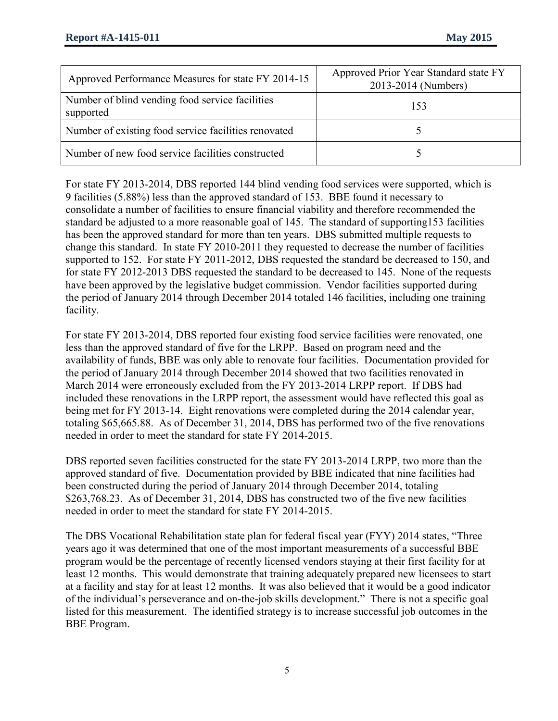| Approved Performance Measures for state FY 2014-15           | Approved Prior Year Standard state FY<br>2013-2014 (Numbers) |
|--------------------------------------------------------------|--------------------------------------------------------------|
| Number of blind vending food service facilities<br>supported | 153                                                          |
| Number of existing food service facilities renovated         |                                                              |
| Number of new food service facilities constructed            |                                                              |

For state FY 2013-2014, DBS reported 144 blind vending food services were supported, which is 9 facilities (5.88%) less than the approved standard of 153. BBE found it necessary to consolidate a number of facilities to ensure financial viability and therefore recommended the standard be adjusted to a more reasonable goal of 145. The standard of supporting153 facilities has been the approved standard for more than ten years. DBS submitted multiple requests to change this standard. In state FY 2010-2011 they requested to decrease the number of facilities supported to 152. For state FY 2011-2012, DBS requested the standard be decreased to 150, and for state FY 2012-2013 DBS requested the standard to be decreased to 145. None of the requests have been approved by the legislative budget commission. Vendor facilities supported during the period of January 2014 through December 2014 totaled 146 facilities, including one training facility.

For state FY 2013-2014, DBS reported four existing food service facilities were renovated, one less than the approved standard of five for the LRPP. Based on program need and the availability of funds, BBE was only able to renovate four facilities. Documentation provided for the period of January 2014 through December 2014 showed that two facilities renovated in March 2014 were erroneously excluded from the FY 2013-2014 LRPP report. If DBS had included these renovations in the LRPP report, the assessment would have reflected this goal as being met for FY 2013-14. Eight renovations were completed during the 2014 calendar year, totaling \$65,665.88. As of December 31, 2014, DBS has performed two of the five renovations needed in order to meet the standard for state FY 2014-2015.

DBS reported seven facilities constructed for the state FY 2013-2014 LRPP, two more than the approved standard of five. Documentation provided by BBE indicated that nine facilities had been constructed during the period of January 2014 through December 2014, totaling \$263,768.23. As of December 31, 2014, DBS has constructed two of the five new facilities needed in order to meet the standard for state FY 2014-2015.

The DBS Vocational Rehabilitation state plan for federal fiscal year (FYY) 2014 states, "Three years ago it was determined that one of the most important measurements of a successful BBE program would be the percentage of recently licensed vendors staying at their first facility for at least 12 months. This would demonstrate that training adequately prepared new licensees to start at a facility and stay for at least 12 months. It was also believed that it would be a good indicator of the individual's perseverance and on-the-job skills development." There is not a specific goal listed for this measurement. The identified strategy is to increase successful job outcomes in the BBE Program.